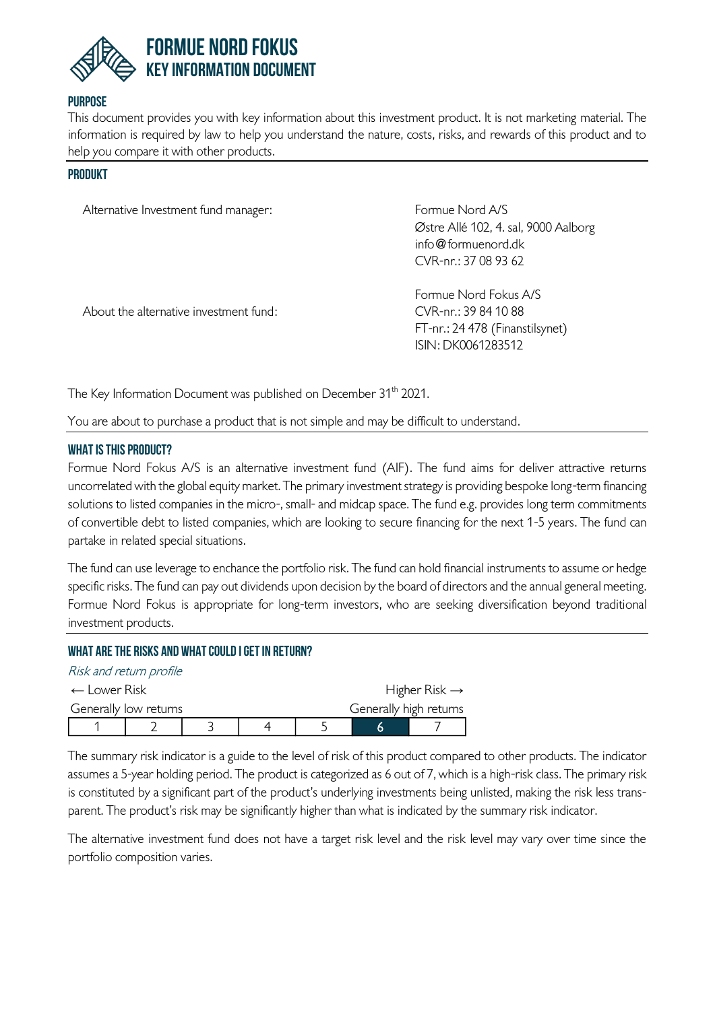

### **Purpose**

This document provides you with key information about this investment product. It is not marketing material. The information is required by law to help you understand the nature, costs, risks, and rewards of this product and to help you compare it with other products.

#### **PRODUKT**

| Alternative Investment fund manager:   | Formue Nord A/S<br>Østre Allé 102, 4. sal, 9000 Aalborg<br>info $@$ formuenord.dk<br>CVR-nr.: 37 08 93 62 |
|----------------------------------------|-----------------------------------------------------------------------------------------------------------|
| About the alternative investment fund: | Formue Nord Fokus A/S<br>CVR-nr.: 39 84 10 88<br>FT-nr.: 24 478 (Finanstilsynet)<br>ISIN: DK0061283512    |

The Key Information Document was published on December 31<sup>th</sup> 2021.

You are about to purchase a product that is not simple and may be difficult to understand.

#### **What is this product?**

Formue Nord Fokus A/S is an alternative investment fund (AIF). The fund aims for deliver attractive returns uncorrelated with the global equity market. The primary investment strategy is providing bespoke long-term financing solutions to listed companies in the micro-, small- and midcap space. The fund e.g. provides long term commitments of convertible debt to listed companies, which are looking to secure financing for the next 1-5 years. The fund can partake in related special situations.

The fund can use leverage to enchance the portfolio risk. The fund can hold financial instruments to assume or hedge specific risks. The fund can pay out dividends upon decision by the board of directors and the annual general meeting. Formue Nord Fokus is appropriate for long-term investors, who are seeking diversification beyond traditional investment products.

# **What are the risks and what could I get in return?**

| Risk and return profile |  |  |                           |
|-------------------------|--|--|---------------------------|
| $\leftarrow$ Lower Risk |  |  | Higher Risk $\rightarrow$ |
| Generally low returns   |  |  | Generally high returns    |
|                         |  |  |                           |

The summary risk indicator is a guide to the level of risk of this product compared to other products. The indicator assumes a 5-year holding period. The product is categorized as 6 out of 7, which is a high-risk class. The primary risk is constituted by a significant part of the product's underlying investments being unlisted, making the risk less transparent. The product's risk may be significantly higher than what is indicated by the summary risk indicator.

The alternative investment fund does not have a target risk level and the risk level may vary over time since the portfolio composition varies.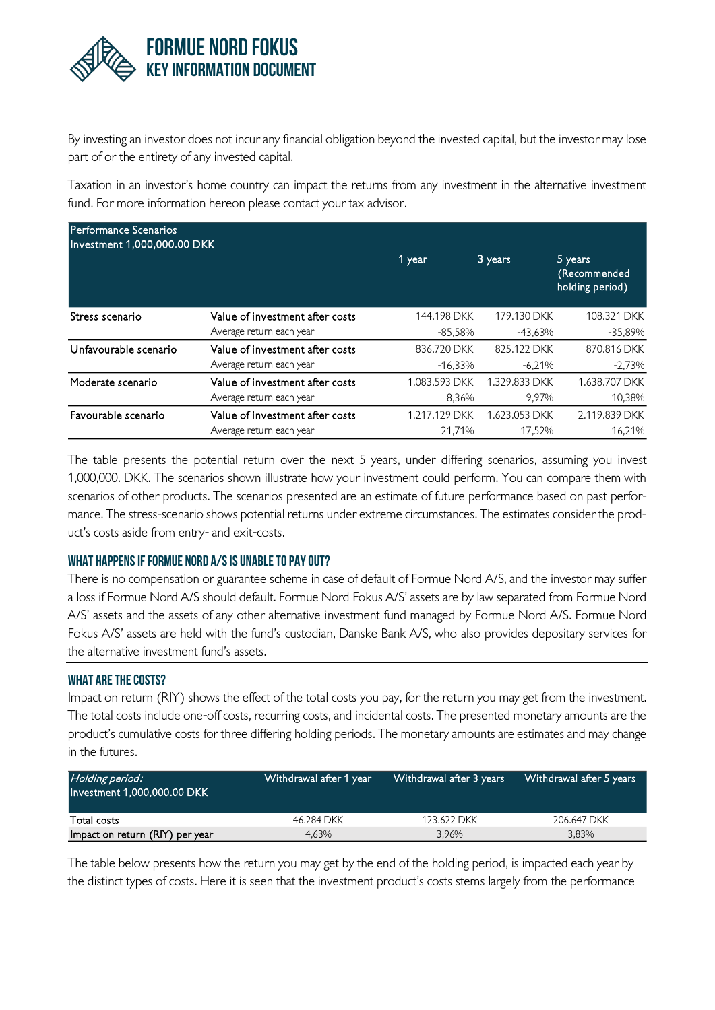

By investing an investor does not incur any financial obligation beyond the invested capital, but the investor may lose part of or the entirety of any invested capital.

Taxation in an investor's home country can impact the returns from any investment in the alternative investment fund. For more information hereon please contact your tax advisor.

| <b>Performance Scenarios</b><br>Investment 1,000,000.00 DKK |                                 |               |               |                                            |
|-------------------------------------------------------------|---------------------------------|---------------|---------------|--------------------------------------------|
|                                                             |                                 | 1 year        | 3 years       | 5 years<br>(Recommended<br>holding period) |
| Stress scenario                                             | Value of investment after costs | 144.198 DKK   | 179.130 DKK   | 108.321 DKK                                |
|                                                             | Average return each year        | $-85,58%$     | $-43.63%$     | $-35,89%$                                  |
| Unfavourable scenario                                       | Value of investment after costs | 836.720 DKK   | 825.122 DKK   | 870.816 DKK                                |
|                                                             | Average return each year        | $-16.33\%$    | $-6.21%$      | $-2,73%$                                   |
| Moderate scenario                                           | Value of investment after costs | 1.083.593 DKK | 1.329.833 DKK | 1.638.707 DKK                              |
|                                                             | Average return each year        | 8.36%         | 9.97%         | 10,38%                                     |
| Favourable scenario                                         | Value of investment after costs | 1.217.129 DKK | 1.623.053 DKK | 2.119.839 DKK                              |
|                                                             | Average return each year        | 21.71%        | 17.52%        | 16.21%                                     |

The table presents the potential return over the next 5 years, under differing scenarios, assuming you invest 1,000,000. DKK. The scenarios shown illustrate how your investment could perform. You can compare them with scenarios of other products. The scenarios presented are an estimate of future performance based on past performance. The stress-scenario shows potential returns under extreme circumstances. The estimates consider the product's costs aside from entry- and exit-costs.

### **What happens if Formue Nord A/S is unable to pay out?**

There is no compensation or guarantee scheme in case of default of Formue Nord A/S, and the investor may suffer a loss if Formue Nord A/S should default. Formue Nord Fokus A/S' assets are by law separated from Formue Nord A/S' assets and the assets of any other alternative investment fund managed by Formue Nord A/S. Formue Nord Fokus A/S' assets are held with the fund's custodian, Danske Bank A/S, who also provides depositary services for the alternative investment fund's assets.

#### **What are the costs?**

Impact on return (RIY) shows the effect of the total costs you pay, for the return you may get from the investment. The total costs include one-off costs, recurring costs, and incidental costs. The presented monetary amounts are the product's cumulative costs for three differing holding periods. The monetary amounts are estimates and may change in the futures.

| Holding period:<br>Investment 1,000,000.00 DKK | Withdrawal after 1 year | Withdrawal after 3 years | Withdrawal after 5 years |
|------------------------------------------------|-------------------------|--------------------------|--------------------------|
| Total costs                                    | 46.284 DKK              | 123.622 DKK              | 206.647 DKK              |
| Impact on return (RIY) per year                | 4.63%                   | 3.96%                    | 3.83%                    |

The table below presents how the return you may get by the end of the holding period, is impacted each year by the distinct types of costs. Here it is seen that the investment product's costs stems largely from the performance